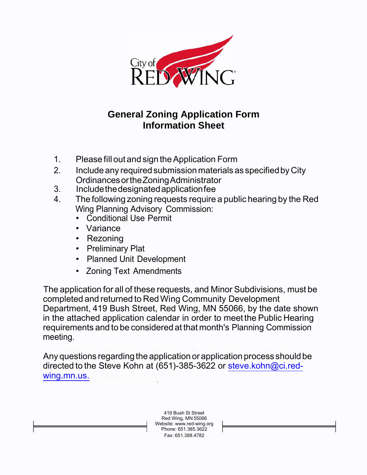

## **General Zoning Application Form Information Sheet**

- 1. Please fill out and sign theApplication Form
- 2. Include any required submission materials as specified by City OrdinancesortheZoningAdministrator
- 3. Includethedesignatedapplicationfee
- 4. The following zoning requests require a public hearing by the Red Wing Planning Advisory Commission:
	- Conditional Use Permit
	- Variance
	- Rezoning
	- Preliminary Plat
	- Planned Unit Development
	- Zoning Text Amendments

The application for all of these requests, and Minor Subdivisions, must be completed and returned to RedWing Community Development Department, 419 Bush Street, Red Wing, MN 55066, by the date shown in the attached application calendar in order to meet the Public Hearing requirements and to be considered at that month's Planning Commission meeting.

Any questions regarding the application or application process should be directed to the Steve Kohn at (651)-385-3622 or [steve.kohn@ci.red](mailto:steve.kohn@ci.red-wing.mn.us)[wing.mn.us.](mailto:steve.kohn@ci.red-wing.mn.us)

> 419 Bush St Street Red Wing, MN 55066 Website: [www.red-wing.org](http://www.red-wing.org/) Phone: 651.385.3622 Fax: 651.388.4782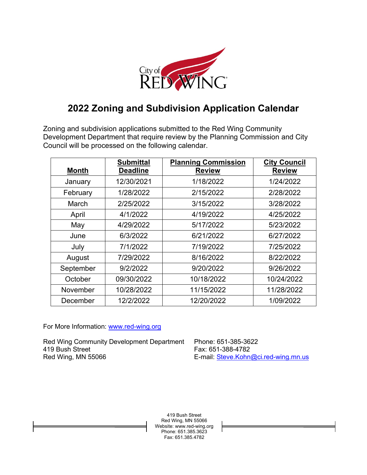

## **2022 Zoning and Subdivision Application Calendar**

Zoning and subdivision applications submitted to the Red Wing Community Development Department that require review by the Planning Commission and City Council will be processed on the following calendar.

| <b>Month</b> | <b>Submittal</b><br><b>Deadline</b> | <b>Planning Commission</b><br><b>Review</b> | <b>City Council</b><br><b>Review</b> |
|--------------|-------------------------------------|---------------------------------------------|--------------------------------------|
| January      | 12/30/2021                          | 1/18/2022                                   | 1/24/2022                            |
| February     | 1/28/2022                           | 2/15/2022                                   | 2/28/2022                            |
| March        | 2/25/2022                           | 3/15/2022                                   | 3/28/2022                            |
| April        | 4/1/2022                            | 4/19/2022                                   | 4/25/2022                            |
| May          | 4/29/2022                           | 5/17/2022                                   | 5/23/2022                            |
| June         | 6/3/2022                            | 6/21/2022                                   | 6/27/2022                            |
| July         | 7/1/2022                            | 7/19/2022                                   | 7/25/2022                            |
| August       | 7/29/2022                           | 8/16/2022                                   | 8/22/2022                            |
| September    | 9/2/2022                            | 9/20/2022                                   | 9/26/2022                            |
| October      | 09/30/2022                          | 10/18/2022                                  | 10/24/2022                           |
| November     | 10/28/2022                          | 11/15/2022                                  | 11/28/2022                           |
| December     | 12/2/2022                           | 12/20/2022                                  | 1/09/2022                            |

For More Information: [www.red-wing.org](http://www.red-wing.org/)

Red Wing Community Development Department Phone: 651-385-3622 419 Bush Street Fax: 651-388-4782<br>Red Wing, MN 55066 Femal: Steve Kohn

E-mail: [Steve.Kohn@ci.red-wing.mn.us](mailto:Steve.Kohn@ci.red-wing.mn.us)

419 Bush Street Red Wing, MN 55066 Website: www.red-wing.org Phone: 651.385.3623 Fax: 651.385.4782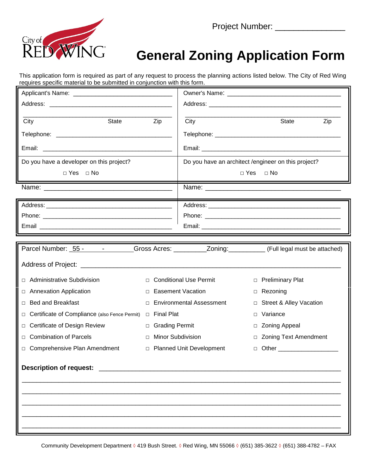

## **General Zoning Application Form**

This application form is required as part of any request to process the planning actions listed below. The City of Red Wing requires specific material to be submitted in conjunction with this form.

| <b>State</b><br>City                                                                                                 |        | Zip                             | City                                                               |        | State                              | Zip |
|----------------------------------------------------------------------------------------------------------------------|--------|---------------------------------|--------------------------------------------------------------------|--------|------------------------------------|-----|
|                                                                                                                      |        |                                 |                                                                    |        |                                    |     |
|                                                                                                                      |        |                                 |                                                                    |        |                                    |     |
| Do you have a developer on this project?                                                                             |        |                                 | Do you have an architect /engineer on this project?                |        |                                    |     |
| $\Box$ Yes $\Box$ No                                                                                                 |        |                                 | $\Box$ Yes<br>$\Box$ No                                            |        |                                    |     |
| Name: Name:                                                                                                          |        |                                 |                                                                    |        | <u> Andrew State (1989)</u>        |     |
|                                                                                                                      |        |                                 |                                                                    |        |                                    |     |
|                                                                                                                      |        |                                 |                                                                    |        |                                    |     |
|                                                                                                                      |        |                                 |                                                                    |        |                                    |     |
| <u> 1989 - Johann Stein, marwolaethau a bhann an t-Amhair an t-Amhair an t-Amhair an t-Amhair an t-Amhair an t-A</u> |        |                                 |                                                                    |        |                                    |     |
|                                                                                                                      |        |                                 |                                                                    |        |                                    |     |
|                                                                                                                      |        |                                 |                                                                    |        |                                    |     |
| <b>Administrative Subdivision</b>                                                                                    | $\Box$ |                                 | <b>Conditional Use Permit</b><br><b>Preliminary Plat</b><br>$\Box$ |        |                                    |     |
| <b>Annexation Application</b><br>$\Box$                                                                              |        | □ Easement Vacation             |                                                                    |        | □ Rezoning                         |     |
| <b>Bed and Breakfast</b><br>$\Box$                                                                                   | $\Box$ | <b>Environmental Assessment</b> |                                                                    | $\Box$ | <b>Street &amp; Alley Vacation</b> |     |
| Certificate of Compliance (also Fence Permit)<br>$\Box$                                                              | $\Box$ | <b>Final Plat</b>               |                                                                    | $\Box$ | Variance                           |     |
| Certificate of Design Review                                                                                         | $\Box$ | <b>Grading Permit</b>           |                                                                    | $\Box$ | <b>Zoning Appeal</b>               |     |
| <b>Combination of Parcels</b><br>Π.                                                                                  |        | <b>Minor Subdivision</b>        |                                                                    | □      | <b>Zoning Text Amendment</b>       |     |
| Comprehensive Plan Amendment                                                                                         |        | □ Planned Unit Development      |                                                                    |        | □ Other ______________________     |     |
| <b>Description of request:</b>                                                                                       |        |                                 |                                                                    |        |                                    |     |
|                                                                                                                      |        |                                 |                                                                    |        |                                    |     |